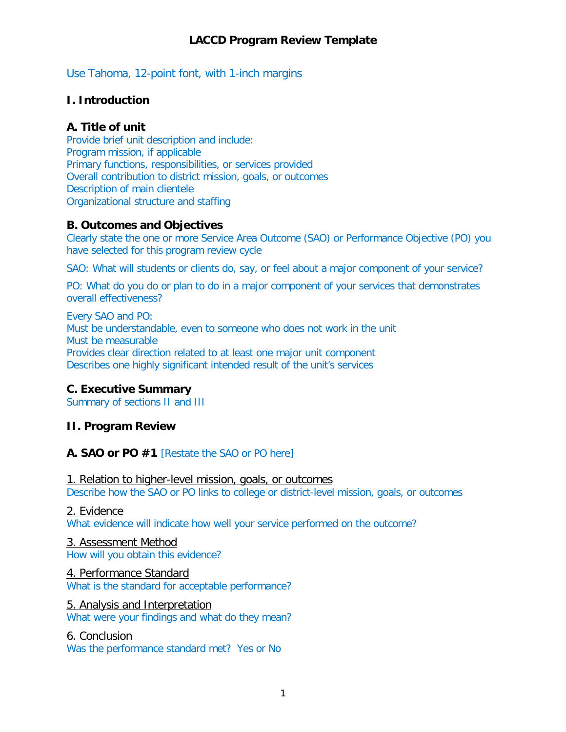Use Tahoma, 12-point font, with 1-inch margins

## **I. Introduction**

## **A. Title of unit**

Provide brief unit description and include: Program mission, if applicable Primary functions, responsibilities, or services provided Overall contribution to district mission, goals, or outcomes Description of main clientele Organizational structure and staffing

### **B. Outcomes and Objectives**

Clearly state the one or more Service Area Outcome (SAO) or Performance Objective (PO) you have selected for this program review cycle

SAO: What will students or clients do, say, or feel about a major component of your service?

PO: What do you do or plan to do in a major component of your services that demonstrates overall effectiveness?

Every SAO and PO: Must be understandable, even to someone who does not work in the unit Must be measurable Provides clear direction related to at least one major unit component Describes one highly significant intended result of the unit's services

## **C. Executive Summary**

Summary of sections II and III

## **II. Program Review**

## **A. SAO or PO #1** [Restate the SAO or PO here]

1. Relation to higher-level mission, goals, or outcomes Describe how the SAO or PO links to college or district-level mission, goals, or outcomes

### 2. Evidence

What evidence will indicate how well your service performed on the outcome?

### 3. Assessment Method

How will you obtain this evidence?

### 4. Performance Standard

What is the standard for acceptable performance?

#### 5. Analysis and Interpretation

What were your findings and what do they mean?

#### 6. Conclusion

Was the performance standard met? Yes or No